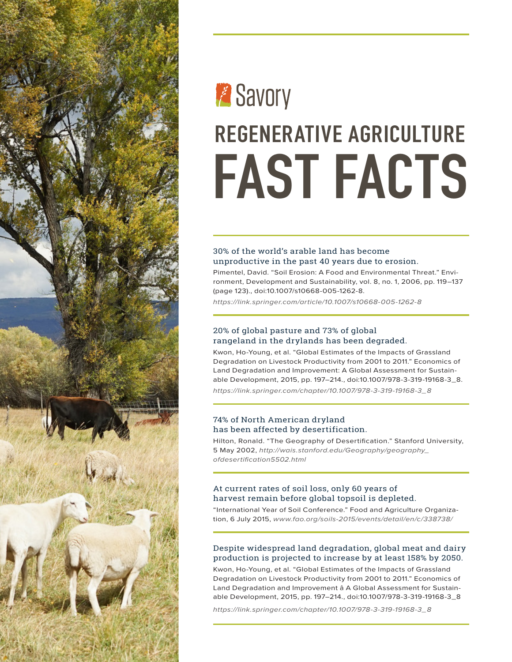

# **Express** REGENERATIVE AGRICULTURE FAST FACTS

# 30% of the world's arable land has become unproductive in the past 40 years due to erosion.

Pimentel, David. "Soil Erosion: A Food and Environmental Threat." Environment, Development and Sustainability, vol. 8, no. 1, 2006, pp. 119–137 (page 123)., doi:10.1007/s10668-005-1262-8.

*[https://link.springer.com/article/10.1007/s10668-005-1262-8](https://link.springer.com/article/10.1007/s10668-005-1262-8
)*

# 20% of global pasture and 73% of global rangeland in the drylands has been degraded.

Kwon, Ho-Young, et al. "Global Estimates of the Impacts of Grassland Degradation on Livestock Productivity from 2001 to 2011." Economics of Land Degradation and Improvement: A Global Assessment for Sustainable Development, 2015, pp. 197–214., doi:10.1007/978-3-319-19168-3\_8. *https://link.springer.com/chapter/10.1007/978-3-319-19168-3\_[8](https://link.springer.com/chapter/10.1007/978-3-319-19168-3_8
)*

74% of North American dryland has been affected by desertification.

Hilton, Ronald. "The Geography of Desertification." Stanford University, 5 May 2002, *http://[wais.stanford.edu/Geography/geography\\_](http://wais.stanford.edu/Geography/geography_ofdesertification5502.html) [ofdesertification5502.html](http://wais.stanford.edu/Geography/geography_ofdesertification5502.html)*

# At current rates of soil loss, only 60 years of harvest remain before global topsoil is depleted.

"International Year of Soil Conference." Food and Agriculture Organization, 6 July 2015, *[www.fao.org/soils-2015/events/detail/en/c/338738/](http://www.fao.org/soils-2015/events/detail/en/c/338738/)*

# Despite widespread land degradation, global meat and dairy production is projected to increase by at least 158% by 2050.

Kwon, Ho-Young, et al. "Global Estimates of the Impacts of Grassland Degradation on Livestock Productivity from 2001 to 2011." Economics of Land Degradation and Improvement â A Global Assessment for Sustainable Development, 2015, pp. 197–214., doi:10.1007/978-3-319-19168-3\_8

*[https://link.springer.com/chapter/10.1007/978-3-319-19168-3\\_8](https://link.springer.com/chapter/10.1007/978-3-319-19168-3_8
)*